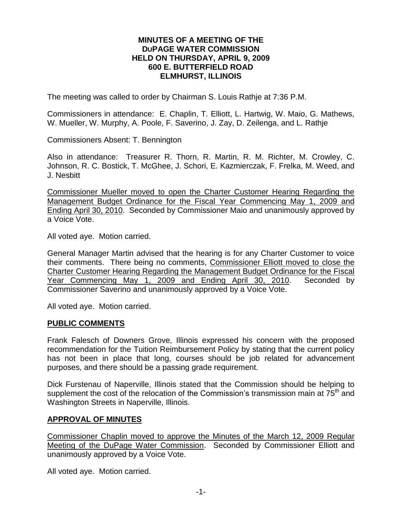#### **MINUTES OF A MEETING OF THE DUPAGE WATER COMMISSION HELD ON THURSDAY, APRIL 9, 2009 600 E. BUTTERFIELD ROAD ELMHURST, ILLINOIS**

The meeting was called to order by Chairman S. Louis Rathje at 7:36 P.M.

Commissioners in attendance: E. Chaplin, T. Elliott, L. Hartwig, W. Maio, G. Mathews, W. Mueller, W. Murphy, A. Poole, F. Saverino, J. Zay, D. Zeilenga, and L. Rathje

Commissioners Absent: T. Bennington

Also in attendance: Treasurer R. Thorn, R. Martin, R. M. Richter, M. Crowley, C. Johnson, R. C. Bostick, T. McGhee, J. Schori, E. Kazmierczak, F. Frelka, M. Weed, and J. Nesbitt

Commissioner Mueller moved to open the Charter Customer Hearing Regarding the Management Budget Ordinance for the Fiscal Year Commencing May 1, 2009 and Ending April 30, 2010. Seconded by Commissioner Maio and unanimously approved by a Voice Vote.

All voted aye. Motion carried.

General Manager Martin advised that the hearing is for any Charter Customer to voice their comments. There being no comments, Commissioner Elliott moved to close the Charter Customer Hearing Regarding the Management Budget Ordinance for the Fiscal Year Commencing May 1, 2009 and Ending April 30, 2010. Seconded by Commissioner Saverino and unanimously approved by a Voice Vote.

All voted aye. Motion carried.

#### **PUBLIC COMMENTS**

Frank Falesch of Downers Grove, Illinois expressed his concern with the proposed recommendation for the Tuition Reimbursement Policy by stating that the current policy has not been in place that long, courses should be job related for advancement purposes, and there should be a passing grade requirement.

Dick Furstenau of Naperville, Illinois stated that the Commission should be helping to supplement the cost of the relocation of the Commission's transmission main at  $75<sup>th</sup>$  and Washington Streets in Naperville, Illinois.

## **APPROVAL OF MINUTES**

Commissioner Chaplin moved to approve the Minutes of the March 12, 2009 Regular Meeting of the DuPage Water Commission. Seconded by Commissioner Elliott and unanimously approved by a Voice Vote.

All voted aye. Motion carried.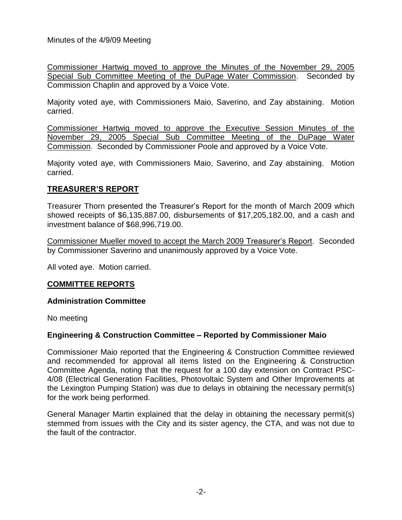Commissioner Hartwig moved to approve the Minutes of the November 29, 2005 Special Sub Committee Meeting of the DuPage Water Commission. Seconded by Commission Chaplin and approved by a Voice Vote.

Majority voted aye, with Commissioners Maio, Saverino, and Zay abstaining. Motion carried.

Commissioner Hartwig moved to approve the Executive Session Minutes of the November 29, 2005 Special Sub Committee Meeting of the DuPage Water Commission. Seconded by Commissioner Poole and approved by a Voice Vote.

Majority voted aye, with Commissioners Maio, Saverino, and Zay abstaining. Motion carried.

# **TREASURER'S REPORT**

Treasurer Thorn presented the Treasurer's Report for the month of March 2009 which showed receipts of \$6,135,887.00, disbursements of \$17,205,182.00, and a cash and investment balance of \$68,996,719.00.

Commissioner Mueller moved to accept the March 2009 Treasurer's Report. Seconded by Commissioner Saverino and unanimously approved by a Voice Vote.

All voted aye. Motion carried.

# **COMMITTEE REPORTS**

#### **Administration Committee**

No meeting

## **Engineering & Construction Committee – Reported by Commissioner Maio**

Commissioner Maio reported that the Engineering & Construction Committee reviewed and recommended for approval all items listed on the Engineering & Construction Committee Agenda, noting that the request for a 100 day extension on Contract PSC-4/08 (Electrical Generation Facilities, Photovoltaic System and Other Improvements at the Lexington Pumping Station) was due to delays in obtaining the necessary permit(s) for the work being performed.

General Manager Martin explained that the delay in obtaining the necessary permit(s) stemmed from issues with the City and its sister agency, the CTA, and was not due to the fault of the contractor.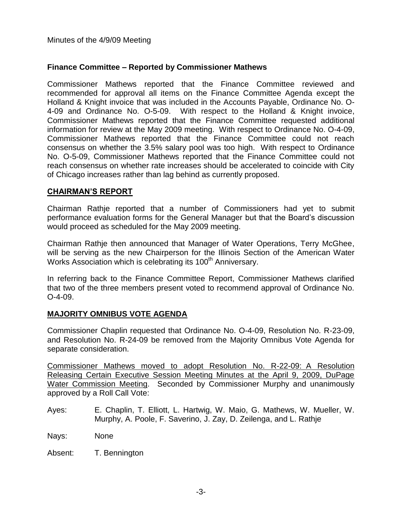## **Finance Committee – Reported by Commissioner Mathews**

Commissioner Mathews reported that the Finance Committee reviewed and recommended for approval all items on the Finance Committee Agenda except the Holland & Knight invoice that was included in the Accounts Payable, Ordinance No. O-4-09 and Ordinance No. O-5-09. With respect to the Holland & Knight invoice, Commissioner Mathews reported that the Finance Committee requested additional information for review at the May 2009 meeting. With respect to Ordinance No. O-4-09, Commissioner Mathews reported that the Finance Committee could not reach consensus on whether the 3.5% salary pool was too high. With respect to Ordinance No. O-5-09, Commissioner Mathews reported that the Finance Committee could not reach consensus on whether rate increases should be accelerated to coincide with City of Chicago increases rather than lag behind as currently proposed.

## **CHAIRMAN'S REPORT**

Chairman Rathje reported that a number of Commissioners had yet to submit performance evaluation forms for the General Manager but that the Board's discussion would proceed as scheduled for the May 2009 meeting.

Chairman Rathje then announced that Manager of Water Operations, Terry McGhee, will be serving as the new Chairperson for the Illinois Section of the American Water Works Association which is celebrating its 100<sup>th</sup> Anniversary.

In referring back to the Finance Committee Report, Commissioner Mathews clarified that two of the three members present voted to recommend approval of Ordinance No. O-4-09.

## **MAJORITY OMNIBUS VOTE AGENDA**

Commissioner Chaplin requested that Ordinance No. O-4-09, Resolution No. R-23-09, and Resolution No. R-24-09 be removed from the Majority Omnibus Vote Agenda for separate consideration.

Commissioner Mathews moved to adopt Resolution No. R-22-09: A Resolution Releasing Certain Executive Session Meeting Minutes at the April 9, 2009, DuPage Water Commission Meeting. Seconded by Commissioner Murphy and unanimously approved by a Roll Call Vote:

- Ayes: E. Chaplin, T. Elliott, L. Hartwig, W. Maio, G. Mathews, W. Mueller, W. Murphy, A. Poole, F. Saverino, J. Zay, D. Zeilenga, and L. Rathje
- Nays: None

Absent: T. Bennington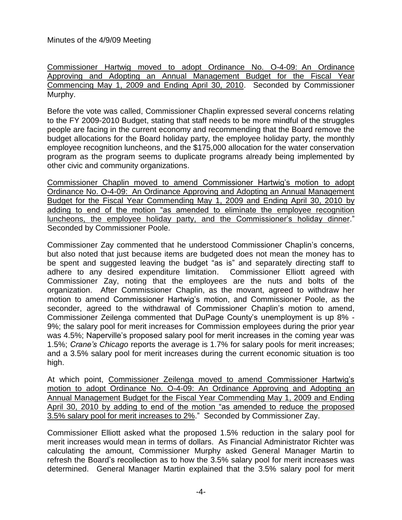Commissioner Hartwig moved to adopt Ordinance No. O-4-09: An Ordinance Approving and Adopting an Annual Management Budget for the Fiscal Year Commencing May 1, 2009 and Ending April 30, 2010. Seconded by Commissioner Murphy.

Before the vote was called, Commissioner Chaplin expressed several concerns relating to the FY 2009-2010 Budget, stating that staff needs to be more mindful of the struggles people are facing in the current economy and recommending that the Board remove the budget allocations for the Board holiday party, the employee holiday party, the monthly employee recognition luncheons, and the \$175,000 allocation for the water conservation program as the program seems to duplicate programs already being implemented by other civic and community organizations.

Commissioner Chaplin moved to amend Commissioner Hartwig's motion to adopt Ordinance No. O-4-09: An Ordinance Approving and Adopting an Annual Management Budget for the Fiscal Year Commending May 1, 2009 and Ending April 30, 2010 by adding to end of the motion "as amended to eliminate the employee recognition luncheons, the employee holiday party, and the Commissioner's holiday dinner." Seconded by Commissioner Poole.

Commissioner Zay commented that he understood Commissioner Chaplin's concerns, but also noted that just because items are budgeted does not mean the money has to be spent and suggested leaving the budget "as is" and separately directing staff to adhere to any desired expenditure limitation. Commissioner Elliott agreed with Commissioner Zay, noting that the employees are the nuts and bolts of the organization. After Commissioner Chaplin, as the movant, agreed to withdraw her motion to amend Commissioner Hartwig's motion, and Commissioner Poole, as the seconder, agreed to the withdrawal of Commissioner Chaplin's motion to amend, Commissioner Zeilenga commented that DuPage County's unemployment is up 8% - 9%; the salary pool for merit increases for Commission employees during the prior year was 4.5%; Naperville's proposed salary pool for merit increases in the coming year was 1.5%; *Crane's Chicago* reports the average is 1.7% for salary pools for merit increases; and a 3.5% salary pool for merit increases during the current economic situation is too high.

At which point, Commissioner Zeilenga moved to amend Commissioner Hartwig's motion to adopt Ordinance No. O-4-09: An Ordinance Approving and Adopting an Annual Management Budget for the Fiscal Year Commending May 1, 2009 and Ending April 30, 2010 by adding to end of the motion "as amended to reduce the proposed 3.5% salary pool for merit increases to 2%." Seconded by Commissioner Zay.

Commissioner Elliott asked what the proposed 1.5% reduction in the salary pool for merit increases would mean in terms of dollars. As Financial Administrator Richter was calculating the amount, Commissioner Murphy asked General Manager Martin to refresh the Board's recollection as to how the 3.5% salary pool for merit increases was determined. General Manager Martin explained that the 3.5% salary pool for merit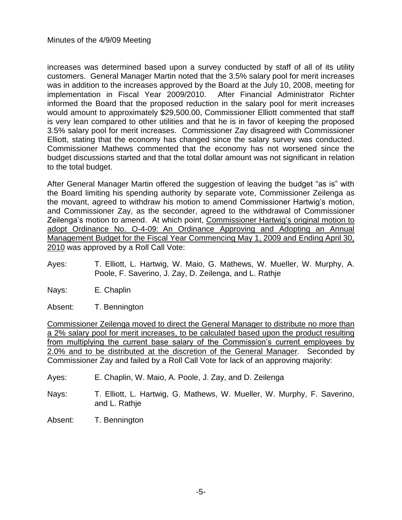increases was determined based upon a survey conducted by staff of all of its utility customers. General Manager Martin noted that the 3.5% salary pool for merit increases was in addition to the increases approved by the Board at the July 10, 2008, meeting for implementation in Fiscal Year 2009/2010. After Financial Administrator Richter informed the Board that the proposed reduction in the salary pool for merit increases would amount to approximately \$29,500.00, Commissioner Elliott commented that staff is very lean compared to other utilities and that he is in favor of keeping the proposed 3.5% salary pool for merit increases. Commissioner Zay disagreed with Commissioner Elliott, stating that the economy has changed since the salary survey was conducted. Commissioner Mathews commented that the economy has not worsened since the budget discussions started and that the total dollar amount was not significant in relation to the total budget.

After General Manager Martin offered the suggestion of leaving the budget "as is" with the Board limiting his spending authority by separate vote, Commissioner Zeilenga as the movant, agreed to withdraw his motion to amend Commissioner Hartwig's motion, and Commissioner Zay, as the seconder, agreed to the withdrawal of Commissioner Zeilenga's motion to amend. At which point, Commissioner Hartwig's original motion to adopt Ordinance No. O-4-09: An Ordinance Approving and Adopting an Annual Management Budget for the Fiscal Year Commencing May 1, 2009 and Ending April 30, 2010 was approved by a Roll Call Vote:

- Ayes: T. Elliott, L. Hartwig, W. Maio, G. Mathews, W. Mueller, W. Murphy, A. Poole, F. Saverino, J. Zay, D. Zeilenga, and L. Rathje
- Nays: E. Chaplin
- Absent: T. Bennington

Commissioner Zeilenga moved to direct the General Manager to distribute no more than a 2% salary pool for merit increases, to be calculated based upon the product resulting from multiplying the current base salary of the Commission's current employees by 2.0% and to be distributed at the discretion of the General Manager. Seconded by Commissioner Zay and failed by a Roll Call Vote for lack of an approving majority:

Ayes: E. Chaplin, W. Maio, A. Poole, J. Zay, and D. Zeilenga

- Nays: T. Elliott, L. Hartwig, G. Mathews, W. Mueller, W. Murphy, F. Saverino, and L. Rathje
- Absent: T. Bennington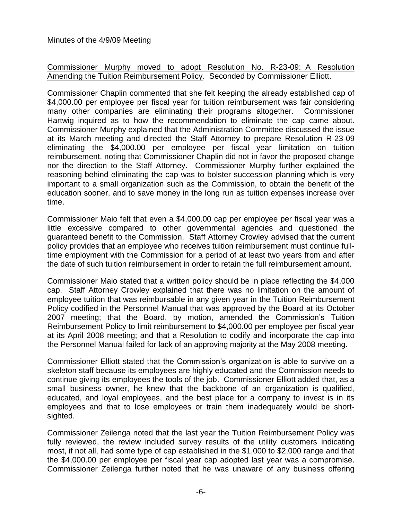## Commissioner Murphy moved to adopt Resolution No. R-23-09: A Resolution Amending the Tuition Reimbursement Policy. Seconded by Commissioner Elliott.

Commissioner Chaplin commented that she felt keeping the already established cap of \$4,000.00 per employee per fiscal year for tuition reimbursement was fair considering many other companies are eliminating their programs altogether. Commissioner Hartwig inquired as to how the recommendation to eliminate the cap came about. Commissioner Murphy explained that the Administration Committee discussed the issue at its March meeting and directed the Staff Attorney to prepare Resolution R-23-09 eliminating the \$4,000.00 per employee per fiscal year limitation on tuition reimbursement, noting that Commissioner Chaplin did not in favor the proposed change nor the direction to the Staff Attorney. Commissioner Murphy further explained the reasoning behind eliminating the cap was to bolster succession planning which is very important to a small organization such as the Commission, to obtain the benefit of the education sooner, and to save money in the long run as tuition expenses increase over time.

Commissioner Maio felt that even a \$4,000.00 cap per employee per fiscal year was a little excessive compared to other governmental agencies and questioned the guaranteed benefit to the Commission. Staff Attorney Crowley advised that the current policy provides that an employee who receives tuition reimbursement must continue fulltime employment with the Commission for a period of at least two years from and after the date of such tuition reimbursement in order to retain the full reimbursement amount.

Commissioner Maio stated that a written policy should be in place reflecting the \$4,000 cap. Staff Attorney Crowley explained that there was no limitation on the amount of employee tuition that was reimbursable in any given year in the Tuition Reimbursement Policy codified in the Personnel Manual that was approved by the Board at its October 2007 meeting; that the Board, by motion, amended the Commission's Tuition Reimbursement Policy to limit reimbursement to \$4,000.00 per employee per fiscal year at its April 2008 meeting; and that a Resolution to codify and incorporate the cap into the Personnel Manual failed for lack of an approving majority at the May 2008 meeting.

Commissioner Elliott stated that the Commission's organization is able to survive on a skeleton staff because its employees are highly educated and the Commission needs to continue giving its employees the tools of the job. Commissioner Elliott added that, as a small business owner, he knew that the backbone of an organization is qualified, educated, and loyal employees, and the best place for a company to invest is in its employees and that to lose employees or train them inadequately would be shortsighted.

Commissioner Zeilenga noted that the last year the Tuition Reimbursement Policy was fully reviewed, the review included survey results of the utility customers indicating most, if not all, had some type of cap established in the \$1,000 to \$2,000 range and that the \$4,000.00 per employee per fiscal year cap adopted last year was a compromise. Commissioner Zeilenga further noted that he was unaware of any business offering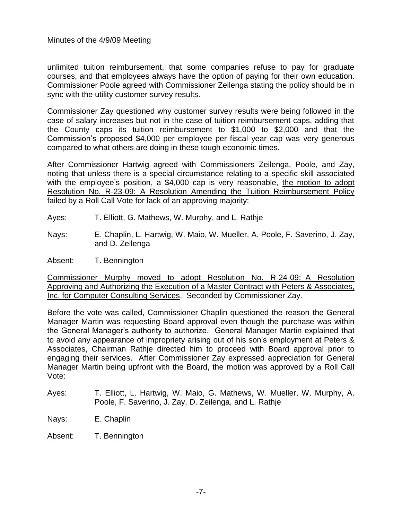unlimited tuition reimbursement, that some companies refuse to pay for graduate courses, and that employees always have the option of paying for their own education. Commissioner Poole agreed with Commissioner Zeilenga stating the policy should be in sync with the utility customer survey results.

Commissioner Zay questioned why customer survey results were being followed in the case of salary increases but not in the case of tuition reimbursement caps, adding that the County caps its tuition reimbursement to \$1,000 to \$2,000 and that the Commission's proposed \$4,000 per employee per fiscal year cap was very generous compared to what others are doing in these tough economic times.

After Commissioner Hartwig agreed with Commissioners Zeilenga, Poole, and Zay, noting that unless there is a special circumstance relating to a specific skill associated with the employee's position, a \$4,000 cap is very reasonable, the motion to adopt Resolution No. R-23-09: A Resolution Amending the Tuition Reimbursement Policy failed by a Roll Call Vote for lack of an approving majority:

- Ayes: T. Elliott, G. Mathews, W. Murphy, and L. Rathje
- Nays: E. Chaplin, L. Hartwig, W. Maio, W. Mueller, A. Poole, F. Saverino, J. Zay, and D. Zeilenga
- Absent: T. Bennington

Commissioner Murphy moved to adopt Resolution No. R-24-09: A Resolution Approving and Authorizing the Execution of a Master Contract with Peters & Associates, Inc. for Computer Consulting Services. Seconded by Commissioner Zay.

Before the vote was called, Commissioner Chaplin questioned the reason the General Manager Martin was requesting Board approval even though the purchase was within the General Manager's authority to authorize. General Manager Martin explained that to avoid any appearance of impropriety arising out of his son's employment at Peters & Associates, Chairman Rathje directed him to proceed with Board approval prior to engaging their services. After Commissioner Zay expressed appreciation for General Manager Martin being upfront with the Board, the motion was approved by a Roll Call Vote:

- Ayes: T. Elliott, L. Hartwig, W. Maio, G. Mathews, W. Mueller, W. Murphy, A. Poole, F. Saverino, J. Zay, D. Zeilenga, and L. Rathje
- Nays: E. Chaplin
- Absent: T. Bennington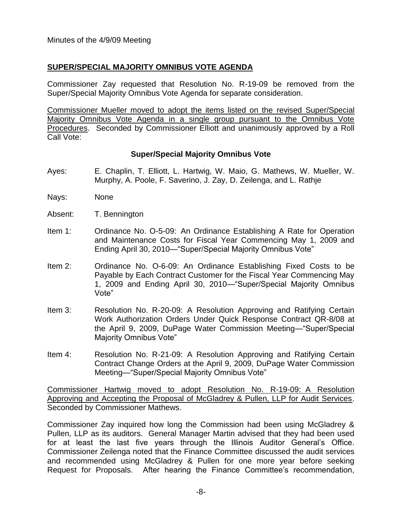## **SUPER/SPECIAL MAJORITY OMNIBUS VOTE AGENDA**

Commissioner Zay requested that Resolution No. R-19-09 be removed from the Super/Special Majority Omnibus Vote Agenda for separate consideration.

Commissioner Mueller moved to adopt the items listed on the revised Super/Special Majority Omnibus Vote Agenda in a single group pursuant to the Omnibus Vote Procedures. Seconded by Commissioner Elliott and unanimously approved by a Roll Call Vote:

#### **Super/Special Majority Omnibus Vote**

- Ayes: E. Chaplin, T. Elliott, L. Hartwig, W. Maio, G. Mathews, W. Mueller, W. Murphy, A. Poole, F. Saverino, J. Zay, D. Zeilenga, and L. Rathje
- Nays: None
- Absent: T. Bennington
- Item 1: Ordinance No. O-5-09: An Ordinance Establishing A Rate for Operation and Maintenance Costs for Fiscal Year Commencing May 1, 2009 and Ending April 30, 2010—"Super/Special Majority Omnibus Vote"
- Item 2: Ordinance No. O-6-09: An Ordinance Establishing Fixed Costs to be Payable by Each Contract Customer for the Fiscal Year Commencing May 1, 2009 and Ending April 30, 2010—"Super/Special Majority Omnibus Vote"
- Item 3: Resolution No. R-20-09: A Resolution Approving and Ratifying Certain Work Authorization Orders Under Quick Response Contract QR-8/08 at the April 9, 2009, DuPage Water Commission Meeting—"Super/Special Majority Omnibus Vote"
- Item 4: Resolution No. R-21-09: A Resolution Approving and Ratifying Certain Contract Change Orders at the April 9, 2009, DuPage Water Commission Meeting—"Super/Special Majority Omnibus Vote"

Commissioner Hartwig moved to adopt Resolution No. R-19-09: A Resolution Approving and Accepting the Proposal of McGladrey & Pullen, LLP for Audit Services. Seconded by Commissioner Mathews.

Commissioner Zay inquired how long the Commission had been using McGladrey & Pullen, LLP as its auditors. General Manager Martin advised that they had been used for at least the last five years through the Illinois Auditor General's Office. Commissioner Zeilenga noted that the Finance Committee discussed the audit services and recommended using McGladrey & Pullen for one more year before seeking Request for Proposals. After hearing the Finance Committee's recommendation,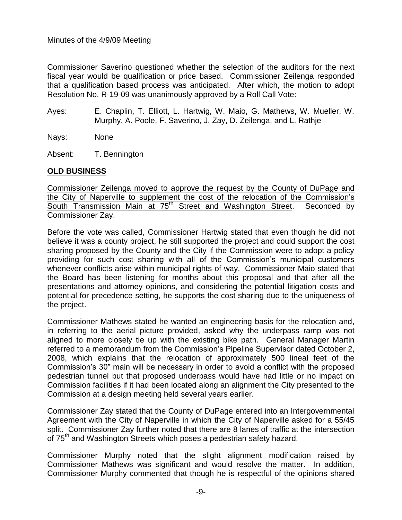Commissioner Saverino questioned whether the selection of the auditors for the next fiscal year would be qualification or price based. Commissioner Zeilenga responded that a qualification based process was anticipated. After which, the motion to adopt Resolution No. R-19-09 was unanimously approved by a Roll Call Vote:

Ayes: E. Chaplin, T. Elliott, L. Hartwig, W. Maio, G. Mathews, W. Mueller, W. Murphy, A. Poole, F. Saverino, J. Zay, D. Zeilenga, and L. Rathje

Nays: None

Absent: T. Bennington

## **OLD BUSINESS**

Commissioner Zeilenga moved to approve the request by the County of DuPage and the City of Naperville to supplement the cost of the relocation of the Commission's South Transmission Main at 75<sup>th</sup> Street and Washington Street. Seconded by Commissioner Zay.

Before the vote was called, Commissioner Hartwig stated that even though he did not believe it was a county project, he still supported the project and could support the cost sharing proposed by the County and the City if the Commission were to adopt a policy providing for such cost sharing with all of the Commission's municipal customers whenever conflicts arise within municipal rights-of-way. Commissioner Maio stated that the Board has been listening for months about this proposal and that after all the presentations and attorney opinions, and considering the potential litigation costs and potential for precedence setting, he supports the cost sharing due to the uniqueness of the project.

Commissioner Mathews stated he wanted an engineering basis for the relocation and, in referring to the aerial picture provided, asked why the underpass ramp was not aligned to more closely tie up with the existing bike path. General Manager Martin referred to a memorandum from the Commission's Pipeline Supervisor dated October 2, 2008, which explains that the relocation of approximately 500 lineal feet of the Commission's 30" main will be necessary in order to avoid a conflict with the proposed pedestrian tunnel but that proposed underpass would have had little or no impact on Commission facilities if it had been located along an alignment the City presented to the Commission at a design meeting held several years earlier.

Commissioner Zay stated that the County of DuPage entered into an Intergovernmental Agreement with the City of Naperville in which the City of Naperville asked for a 55/45 split. Commissioner Zay further noted that there are 8 lanes of traffic at the intersection of 75<sup>th</sup> and Washington Streets which poses a pedestrian safety hazard.

Commissioner Murphy noted that the slight alignment modification raised by Commissioner Mathews was significant and would resolve the matter. In addition, Commissioner Murphy commented that though he is respectful of the opinions shared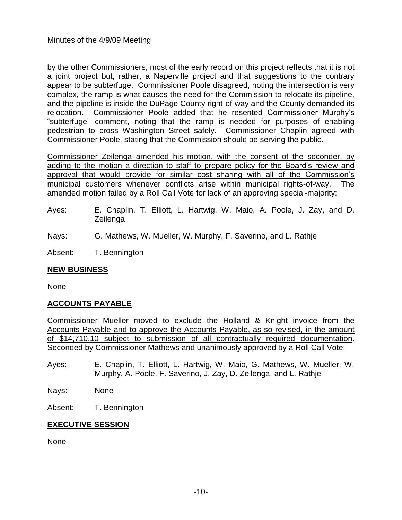by the other Commissioners, most of the early record on this project reflects that it is not a joint project but, rather, a Naperville project and that suggestions to the contrary appear to be subterfuge. Commissioner Poole disagreed, noting the intersection is very complex, the ramp is what causes the need for the Commission to relocate its pipeline, and the pipeline is inside the DuPage County right-of-way and the County demanded its relocation. Commissioner Poole added that he resented Commissioner Murphy's "subterfuge" comment, noting that the ramp is needed for purposes of enabling pedestrian to cross Washington Street safely. Commissioner Chaplin agreed with Commissioner Poole, stating that the Commission should be serving the public.

Commissioner Zeilenga amended his motion, with the consent of the seconder, by adding to the motion a direction to staff to prepare policy for the Board's review and approval that would provide for similar cost sharing with all of the Commission's municipal customers whenever conflicts arise within municipal rights-of-way. The amended motion failed by a Roll Call Vote for lack of an approving special-majority:

- Ayes: E. Chaplin, T. Elliott, L. Hartwig, W. Maio, A. Poole, J. Zay, and D. Zeilenga
- Nays: G. Mathews, W. Mueller, W. Murphy, F. Saverino, and L. Rathje

Absent: T. Bennington

## **NEW BUSINESS**

None

# **ACCOUNTS PAYABLE**

Commissioner Mueller moved to exclude the Holland & Knight invoice from the Accounts Payable and to approve the Accounts Payable, as so revised, in the amount of \$14,710.10 subject to submission of all contractually required documentation. Seconded by Commissioner Mathews and unanimously approved by a Roll Call Vote:

Ayes: E. Chaplin, T. Elliott, L. Hartwig, W. Maio, G. Mathews, W. Mueller, W. Murphy, A. Poole, F. Saverino, J. Zay, D. Zeilenga, and L. Rathje

Nays: None

Absent: T. Bennington

## **EXECUTIVE SESSION**

None